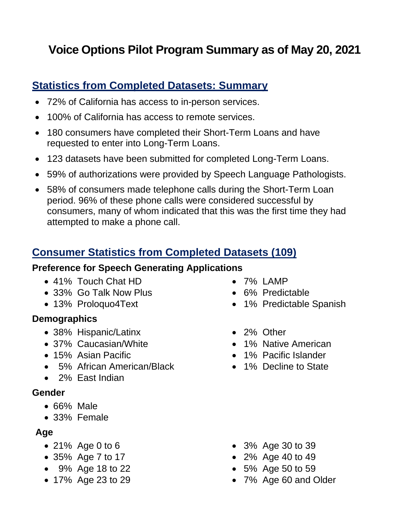# **Voice Options Pilot Program Summary as of May 20, 2021**

## **Statistics from Completed Datasets: Summary**

- 72% of California has access to in-person services.
- 100% of California has access to remote services.
- 180 consumers have completed their Short-Term Loans and have requested to enter into Long-Term Loans.
- 123 datasets have been submitted for completed Long-Term Loans.
- 59% of authorizations were provided by Speech Language Pathologists.
- 58% of consumers made telephone calls during the Short-Term Loan period. 96% of these phone calls were considered successful by consumers, many of whom indicated that this was the first time they had attempted to make a phone call.

# **Consumer Statistics from Completed Datasets (109)**

#### **Preference for Speech Generating Applications**

- 41% Touch Chat HD
- 33% Go Talk Now Plus
- 13% Proloquo4Text

#### **Demographics**

- 38% Hispanic/Latinx
- 37% Caucasian/White
- 15% Asian Pacific
- 5% African American/Black
- 2% East Indian

#### **Gender**

- 66% Male
- 33% Female

#### **Age**

- 21% Age 0 to 6
- 35% Age 7 to 17
- 9% Age 18 to 22
- 17% Age 23 to 29
- 7% LAMP
- 6% Predictable
- 1% Predictable Spanish
- 2% Other
- 1% Native American
- 1% Pacific Islander
- 1% Decline to State

- 3% Age 30 to 39
- 2% Age 40 to 49
- 5% Age 50 to 59
- 7% Age 60 and Older